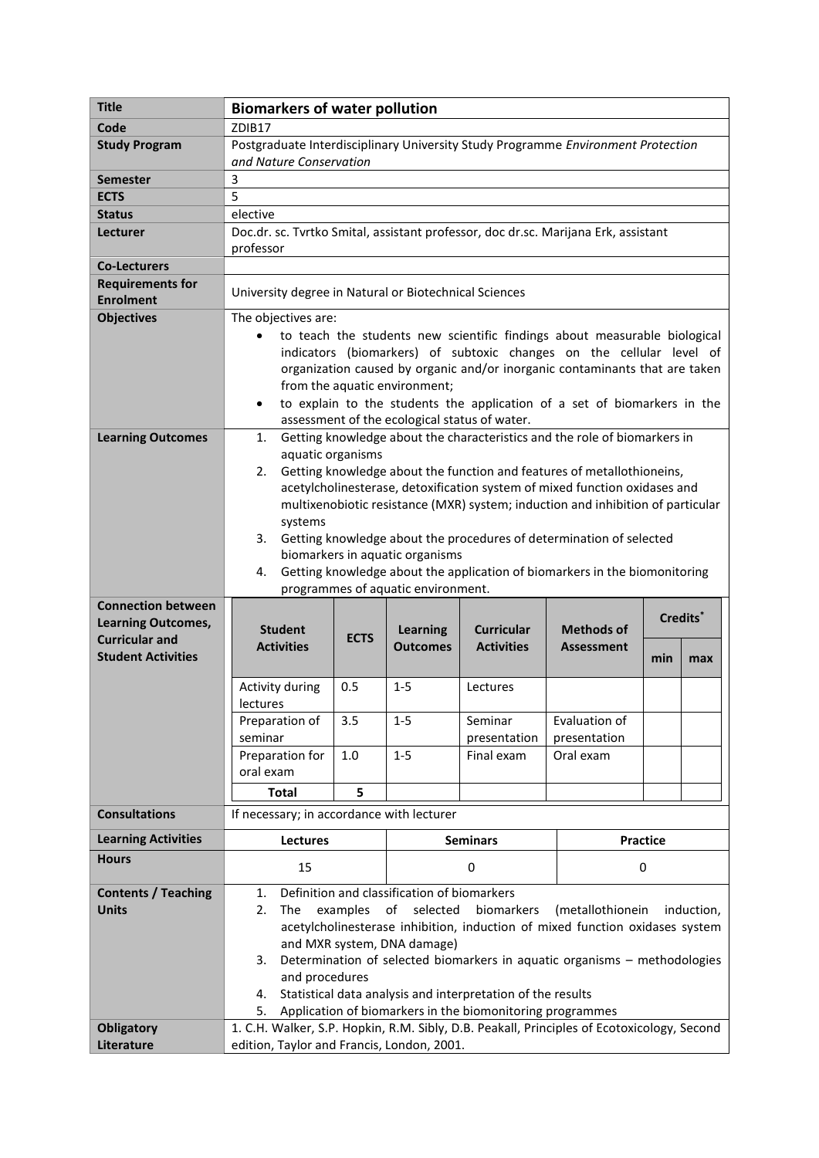| <b>Title</b>               | <b>Biomarkers of water pollution</b>                                                                                                              |             |                                             |                   |                                                                              |     |            |
|----------------------------|---------------------------------------------------------------------------------------------------------------------------------------------------|-------------|---------------------------------------------|-------------------|------------------------------------------------------------------------------|-----|------------|
| Code                       | ZDIB17                                                                                                                                            |             |                                             |                   |                                                                              |     |            |
| <b>Study Program</b>       | Postgraduate Interdisciplinary University Study Programme Environment Protection                                                                  |             |                                             |                   |                                                                              |     |            |
|                            | and Nature Conservation                                                                                                                           |             |                                             |                   |                                                                              |     |            |
| <b>Semester</b>            | 3                                                                                                                                                 |             |                                             |                   |                                                                              |     |            |
| <b>ECTS</b>                | 5                                                                                                                                                 |             |                                             |                   |                                                                              |     |            |
| <b>Status</b>              | elective                                                                                                                                          |             |                                             |                   |                                                                              |     |            |
| Lecturer                   | Doc.dr. sc. Tvrtko Smital, assistant professor, doc dr.sc. Marijana Erk, assistant                                                                |             |                                             |                   |                                                                              |     |            |
|                            | professor                                                                                                                                         |             |                                             |                   |                                                                              |     |            |
| <b>Co-Lecturers</b>        |                                                                                                                                                   |             |                                             |                   |                                                                              |     |            |
| <b>Requirements for</b>    | University degree in Natural or Biotechnical Sciences                                                                                             |             |                                             |                   |                                                                              |     |            |
| <b>Enrolment</b>           |                                                                                                                                                   |             |                                             |                   |                                                                              |     |            |
| <b>Objectives</b>          | The objectives are:                                                                                                                               |             |                                             |                   |                                                                              |     |            |
|                            | to teach the students new scientific findings about measurable biological<br>indicators (biomarkers) of subtoxic changes on the cellular level of |             |                                             |                   |                                                                              |     |            |
|                            | organization caused by organic and/or inorganic contaminants that are taken                                                                       |             |                                             |                   |                                                                              |     |            |
|                            | from the aquatic environment;                                                                                                                     |             |                                             |                   |                                                                              |     |            |
|                            | to explain to the students the application of a set of biomarkers in the<br>$\bullet$                                                             |             |                                             |                   |                                                                              |     |            |
|                            | assessment of the ecological status of water.                                                                                                     |             |                                             |                   |                                                                              |     |            |
| <b>Learning Outcomes</b>   | Getting knowledge about the characteristics and the role of biomarkers in<br>1.                                                                   |             |                                             |                   |                                                                              |     |            |
|                            | aquatic organisms                                                                                                                                 |             |                                             |                   |                                                                              |     |            |
|                            | Getting knowledge about the function and features of metallothioneins,<br>2.                                                                      |             |                                             |                   |                                                                              |     |            |
|                            | acetylcholinesterase, detoxification system of mixed function oxidases and                                                                        |             |                                             |                   |                                                                              |     |            |
|                            | multixenobiotic resistance (MXR) system; induction and inhibition of particular                                                                   |             |                                             |                   |                                                                              |     |            |
|                            | systems                                                                                                                                           |             |                                             |                   |                                                                              |     |            |
|                            | Getting knowledge about the procedures of determination of selected<br>3.                                                                         |             |                                             |                   |                                                                              |     |            |
|                            | biomarkers in aquatic organisms<br>Getting knowledge about the application of biomarkers in the biomonitoring<br>4.                               |             |                                             |                   |                                                                              |     |            |
|                            |                                                                                                                                                   |             | programmes of aquatic environment.          |                   |                                                                              |     |            |
| <b>Connection between</b>  |                                                                                                                                                   |             |                                             |                   |                                                                              |     |            |
| <b>Learning Outcomes,</b>  | <b>Student</b>                                                                                                                                    |             | <b>Learning</b>                             | <b>Curricular</b> | <b>Methods of</b>                                                            |     | Credits*   |
| <b>Curricular and</b>      | <b>Activities</b>                                                                                                                                 | <b>ECTS</b> | <b>Outcomes</b>                             | <b>Activities</b> | <b>Assessment</b>                                                            |     |            |
| <b>Student Activities</b>  |                                                                                                                                                   |             |                                             |                   |                                                                              | min | max        |
|                            | Activity during                                                                                                                                   | 0.5         | $1 - 5$                                     | Lectures          |                                                                              |     |            |
|                            | lectures                                                                                                                                          |             |                                             |                   |                                                                              |     |            |
|                            | Preparation of                                                                                                                                    | 3.5         | $1 - 5$                                     | Seminar           | Evaluation of                                                                |     |            |
|                            | seminar                                                                                                                                           |             |                                             | presentation      | presentation                                                                 |     |            |
|                            | Preparation for                                                                                                                                   | 1.0         | $1-5$                                       | Final exam        | Oral exam                                                                    |     |            |
|                            | oral exam                                                                                                                                         |             |                                             |                   |                                                                              |     |            |
|                            | <b>Total</b>                                                                                                                                      | 5           |                                             |                   |                                                                              |     |            |
| <b>Consultations</b>       | If necessary; in accordance with lecturer                                                                                                         |             |                                             |                   |                                                                              |     |            |
| <b>Learning Activities</b> | <b>Lectures</b>                                                                                                                                   |             | <b>Seminars</b>                             |                   | <b>Practice</b>                                                              |     |            |
| <b>Hours</b>               | 15                                                                                                                                                |             | 0                                           |                   | 0                                                                            |     |            |
| <b>Contents / Teaching</b> | 1.                                                                                                                                                |             | Definition and classification of biomarkers |                   |                                                                              |     |            |
| <b>Units</b>               | 2.<br>The                                                                                                                                         | examples    | of<br>selected                              | biomarkers        | (metallothionein                                                             |     | induction, |
|                            |                                                                                                                                                   |             |                                             |                   | acetylcholinesterase inhibition, induction of mixed function oxidases system |     |            |
|                            | and MXR system, DNA damage)                                                                                                                       |             |                                             |                   |                                                                              |     |            |
|                            | Determination of selected biomarkers in aquatic organisms - methodologies<br>3.                                                                   |             |                                             |                   |                                                                              |     |            |
|                            | and procedures                                                                                                                                    |             |                                             |                   |                                                                              |     |            |
|                            | Statistical data analysis and interpretation of the results<br>4.                                                                                 |             |                                             |                   |                                                                              |     |            |
|                            | Application of biomarkers in the biomonitoring programmes<br>5.                                                                                   |             |                                             |                   |                                                                              |     |            |
| <b>Obligatory</b>          | 1. C.H. Walker, S.P. Hopkin, R.M. Sibly, D.B. Peakall, Principles of Ecotoxicology, Second<br>edition, Taylor and Francis, London, 2001.          |             |                                             |                   |                                                                              |     |            |
| Literature                 |                                                                                                                                                   |             |                                             |                   |                                                                              |     |            |